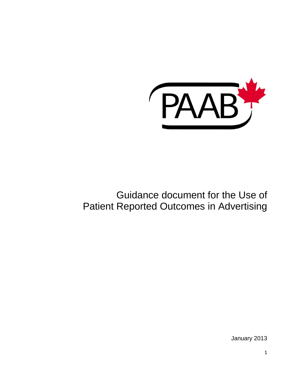

# Guidance document for the Use of Patient Reported Outcomes in Advertising

January 2013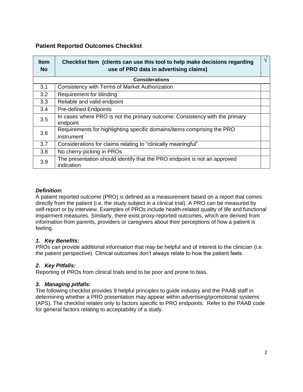# **Patient Reported Outcomes Checklist**

| <b>Item</b><br><b>No</b> | Checklist Item (clients can use this tool to help make decisions regarding<br>use of PRO data in advertising claims) | $\sqrt{ }$ |
|--------------------------|----------------------------------------------------------------------------------------------------------------------|------------|
| <b>Considerations</b>    |                                                                                                                      |            |
| 3.1                      | Consistency with Terms of Market Authorization                                                                       |            |
| 3.2                      | Requirement for blinding                                                                                             |            |
| 3.3                      | Reliable and valid endpoint                                                                                          |            |
| 3.4                      | <b>Pre-defined Endpoints</b>                                                                                         |            |
| 3.5                      | In cases where PRO is not the primary outcome: Consistency with the primary<br>endpoint                              |            |
| 3.6                      | Requirements for highlighting specific domains/items comprising the PRO<br>instrument                                |            |
| 3.7                      | Considerations for claims relating to "clinically meaningful"                                                        |            |
| 3.8                      | No cherry-picking in PROs                                                                                            |            |
| 3.9                      | The presentation should identify that the PRO endpoint is not an approved<br>indication                              |            |

# *Definition:*

A patient reported outcome (PRO) is defined as a measurement based on a report that comes directly from the patient (i.e. the study subject in a clinical trial). A PRO can be measured by self-report or by interview. Examples of PROs include health-related quality of life and functional impairment measures. Similarly, there exist proxy-reported outcomes, which are derived from information from parents, providers or caregivers about their perceptions of how a patient is feeling.

# *1. Key Benefits:*

PROs can provide additional information that may be helpful and of interest to the clinician (i.e. the patient perspective). Clinical outcomes don't always relate to how the patient feels.

# *2. Key Pitfalls:*

Reporting of PROs from clinical trials tend to be poor and prone to bias.

# *3. Managing pitfalls:*

The following checklist provides 9 helpful principles to guide industry and the PAAB staff in determining whether a PRO presentation may appear within advertising/promotional systems (APS). The checklist relates only to factors specific to PRO endpoints. Refer to the PAAB code for general factors relating to acceptability of a study.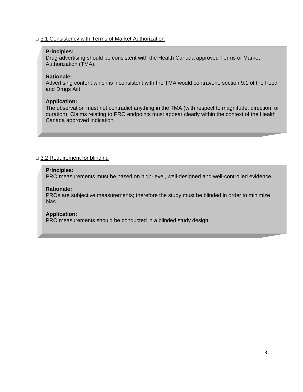### □ 3.1 Consistency with Terms of Market Authorization

#### **Principles:**

Drug advertising should be consistent with the Health Canada approved Terms of Market Authorization (TMA).

#### **Rationale:**

Advertising content which is inconsistent with the TMA would contravene section 9.1 of the Food and Drugs Act.

### **Application:**

The observation must not contradict anything in the TMA (with respect to magnitude, direction, or duration). Claims relating to PRO endpoints must appear clearly within the context of the Health Canada approved indication.

# □ 3.2 Requirement for blinding

#### **Principles:**

PRO measurements must be based on high-level, well-designed and well-controlled evidence.

#### **Rationale:**

PROs are subjective measurements; therefore the study must be blinded in order to minimize bias.

#### **Application:**

PRO measurements should be conducted in a blinded study design.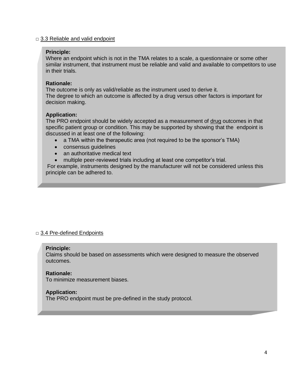#### $\Box$  3.3 Reliable and valid endpoint

### **Principle:**

Where an endpoint which is not in the TMA relates to a scale, a questionnaire or some other similar instrument, that instrument must be reliable and valid and available to competitors to use in their trials.

#### **Rationale:**

The outcome is only as valid/reliable as the instrument used to derive it. The degree to which an outcome is affected by a drug versus other factors is important for decision making.

### **Application:**

The PRO endpoint should be widely accepted as a measurement of drug outcomes in that specific patient group or condition. This may be supported by showing that the endpoint is discussed in at least one of the following:

- a TMA within the therapeutic area (not required to be the sponsor's TMA)
- consensus guidelines
- an authoritative medical text
- multiple peer-reviewed trials including at least one competitor's trial.

For example, instruments designed by the manufacturer will not be considered unless this principle can be adhered to.

# □ 3.4 Pre-defined Endpoints

#### **Principle:**

Claims should be based on assessments which were designed to measure the observed outcomes.

#### **Rationale:**

To minimize measurement biases.

#### **Application:**

The PRO endpoint must be pre-defined in the study protocol.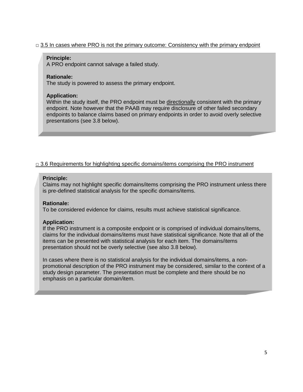# $\Box$  3.5 In cases where PRO is not the primary outcome: Consistency with the primary endpoint

#### **Principle:**

A PRO endpoint cannot salvage a failed study.

### **Rationale:**

The study is powered to assess the primary endpoint.

### **Application:**

Within the study itself, the PRO endpoint must be directionally consistent with the primary endpoint. Note however that the PAAB may require disclosure of other failed secondary endpoints to balance claims based on primary endpoints in order to avoid overly selective presentations (see 3.8 below).

# $\Box$  3.6 Requirements for highlighting specific domains/items comprising the PRO instrument

### **Principle:**

Claims may not highlight specific domains/items comprising the PRO instrument unless there is pre-defined statistical analysis for the specific domains/items.

#### **Rationale:**

To be considered evidence for claims, results must achieve statistical significance.

# **Application:**

- presentation should not be overly selective (see also 3.8 below). If the PRO instrument is a composite endpoint or is comprised of individual domains/items, claims for the individual domains/items must have statistical significance. Note that all of the items can be presented with statistical analysis for each item. The domains/items

In cases where there is no statistical analysis for the individual domains/items, a nonpromotional description of the PRO instrument may be considered, similar to the context of a study design parameter. The presentation must be complete and there should be no emphasis on a particular domain/item.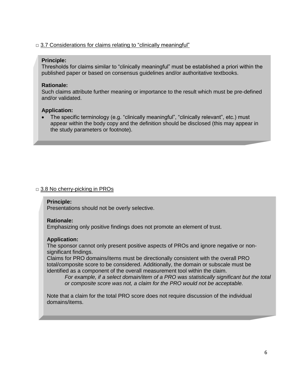# $\Box$  3.7 Considerations for claims relating to "clinically meaningful"

### **Principle:**

Thresholds for claims similar to "clinically meaningful" must be established a priori within the published paper or based on consensus guidelines and/or authoritative textbooks.

# **Rationale:**

Such claims attribute further meaning or importance to the result which must be pre-defined and/or validated.

### **Application:**

• The specific terminology (e.g. "clinically meaningful", "clinically relevant", etc.) must appear within the body copy and the definition should be disclosed (this may appear in the study parameters or footnote).

# □ 3.8 No cherry-picking in PROs

#### **Principle:**

Presentations should not be overly selective.

#### **Rationale:**

Emphasizing only positive findings does not promote an element of trust.

#### **Application:**

The sponsor cannot only present positive aspects of PROs and ignore negative or nonsignificant findings.

Claims for PRO domains/items must be directionally consistent with the overall PRO total/composite score to be considered. Additionally, the domain or subscale must be identified as a component of the overall measurement tool within the claim.

*For example, if a select domain/item of a PRO was statistically significant but the total or composite score was not, a claim for the PRO would not be acceptable.* 

Note that a claim for the total PRO score does not require discussion of the individual domains/items.